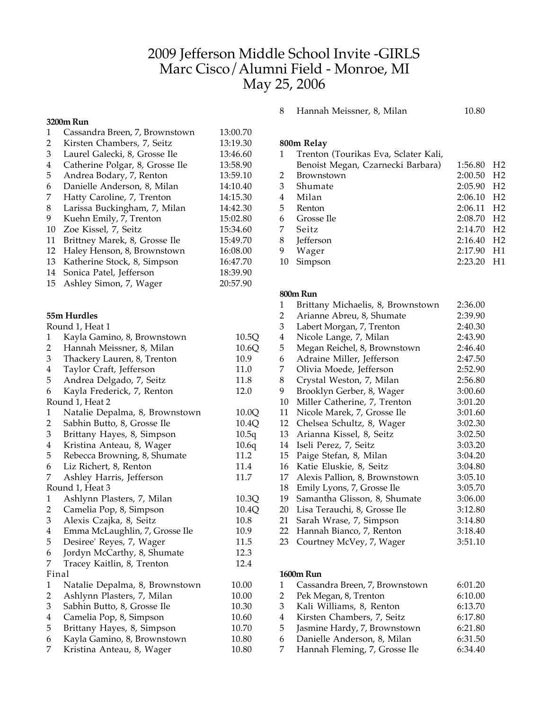# 2009 Jefferson Middle School Invite -GIRLS Marc Cisco/Alumni Field - Monroe, MI May 25, 2006

#### **3200m Run**

|    | wanii waii                      |          |
|----|---------------------------------|----------|
| 1  | Cassandra Breen, 7, Brownstown  | 13:00.70 |
| 2  | Kirsten Chambers, 7, Seitz      | 13:19.30 |
| 3  | Laurel Galecki, 8, Grosse Ile   | 13:46.60 |
| 4  | Catherine Polgar, 8, Grosse Ile | 13:58.90 |
| 5  | Andrea Bodary, 7, Renton        | 13:59.10 |
| 6  | Danielle Anderson, 8, Milan     | 14:10.40 |
| 7  | Hatty Caroline, 7, Trenton      | 14:15.30 |
| 8  | Larissa Buckingham, 7, Milan    | 14:42.30 |
| 9  | Kuehn Emily, 7, Trenton         | 15:02.80 |
| 10 | Zoe Kissel, 7, Seitz            | 15:34.60 |
| 11 | Brittney Marek, 8, Grosse Ile   | 15:49.70 |
| 12 | Haley Henson, 8, Brownstown     | 16:08.00 |
| 13 | Katherine Stock, 8, Simpson     | 16:47.70 |
| 14 | Sonica Patel, Jefferson         | 18:39.90 |
| 15 | Ashley Simon, 7, Wager          | 20:57.90 |
|    |                                 |          |

# **55m Hurdles**

|                         | Round 1, Heat 1                |       |
|-------------------------|--------------------------------|-------|
| 1                       | Kayla Gamino, 8, Brownstown    | 10.5Q |
| 2                       | Hannah Meissner, 8, Milan      | 10.6Q |
| 3                       | Thackery Lauren, 8, Trenton    | 10.9  |
| 4                       | Taylor Craft, Jefferson        | 11.0  |
| 5                       | Andrea Delgado, 7, Seitz       | 11.8  |
| 6                       | Kayla Frederick, 7, Renton     | 12.0  |
|                         | Round 1, Heat 2                |       |
| 1                       | Natalie Depalma, 8, Brownstown | 10.0Q |
| 2                       | Sabhin Butto, 8, Grosse Ile    | 10.4Q |
| 3                       | Brittany Hayes, 8, Simpson     | 10.5q |
| 4                       | Kristina Anteau, 8, Wager      | 10.6q |
| 5                       | Rebecca Browning, 8, Shumate   | 11.2  |
| 6                       | Liz Richert, 8, Renton         | 11.4  |
| 7                       | Ashley Harris, Jefferson       | 11.7  |
|                         | Round 1, Heat 3                |       |
| $\mathbf{1}$            | Ashlynn Plasters, 7, Milan     | 10.3Q |
| $\overline{2}$          | Camelia Pop, 8, Simpson        | 10.4Q |
| 3                       | Alexis Czajka, 8, Seitz        | 10.8  |
| 4                       | Emma McLaughlin, 7, Grosse Ile | 10.9  |
| 5                       | Desiree' Reyes, 7, Wager       | 11.5  |
| 6                       | Jordyn McCarthy, 8, Shumate    | 12.3  |
| 7                       | Tracey Kaitlin, 8, Trenton     | 12.4  |
|                         | Final                          |       |
| $\mathbf{1}$            | Natalie Depalma, 8, Brownstown | 10.00 |
| $\overline{\mathbf{c}}$ | Ashlynn Plasters, 7, Milan     | 10.00 |
| 3                       | Sabhin Butto, 8, Grosse Ile    | 10.30 |
| $\overline{4}$          | Camelia Pop, 8, Simpson        | 10.60 |
| 5                       | Brittany Hayes, 8, Simpson     | 10.70 |
| 6                       | Kayla Gamino, 8, Brownstown    | 10.80 |
| 7                       | Kristina Anteau, 8, Wager      | 10.80 |
|                         |                                |       |

8 Hannah Meissner, 8, Milan 10.80

# **800m Relay**

|    | Trenton (Tourikas Eva, Sclater Kali, |         |                |
|----|--------------------------------------|---------|----------------|
|    | Benoist Megan, Czarnecki Barbara)    | 1:56.80 | H <sub>2</sub> |
| 2  | <b>Brownstown</b>                    | 2:00.50 | H <sub>2</sub> |
| 3  | Shumate                              | 2:05.90 | H <sub>2</sub> |
| 4  | Milan                                | 2:06.10 | H2             |
| 5  | Renton                               | 2:06.11 | H2             |
| 6  | Grosse Ile                           | 2:08.70 | H2             |
| 7  | Seitz                                | 2:14.70 | H <sub>2</sub> |
| 8  | <b>Jefferson</b>                     | 2:16.40 | H <sub>2</sub> |
| 9  | Wager                                | 2:17.90 | H1             |
| 10 | Simpson                              | 2:23.20 | H1             |

### **800m Run**

| 1  | Brittany Michaelis, 8, Brownstown | 2:36.00 |
|----|-----------------------------------|---------|
| 2  | Arianne Abreu, 8, Shumate         | 2:39.90 |
| 3  | Labert Morgan, 7, Trenton         | 2:40.30 |
| 4  | Nicole Lange, 7, Milan            | 2:43.90 |
| 5  | Megan Reichel, 8, Brownstown      | 2:46.40 |
| 6  | Adraine Miller, Jefferson         | 2:47.50 |
| 7  | Olivia Moede, Jefferson           | 2:52.90 |
| 8  | Crystal Weston, 7, Milan          | 2:56.80 |
| 9  | Brooklyn Gerber, 8, Wager         | 3:00.60 |
| 10 | Miller Catherine, 7, Trenton      | 3:01.20 |
| 11 | Nicole Marek, 7, Grosse Ile       | 3:01.60 |
| 12 | Chelsea Schultz, 8, Wager         | 3:02.30 |
| 13 | Arianna Kissel, 8, Seitz          | 3:02.50 |
| 14 | Iseli Perez, 7, Seitz             | 3:03.20 |
| 15 | Paige Stefan, 8, Milan            | 3:04.20 |
| 16 | Katie Eluskie, 8, Seitz           | 3:04.80 |
| 17 | Alexis Pallion, 8, Brownstown     | 3:05.10 |
| 18 | Emily Lyons, 7, Grosse Ile        | 3:05.70 |
| 19 | Samantha Glisson, 8, Shumate      | 3:06.00 |
| 20 | Lisa Terauchi, 8, Grosse Ile      | 3:12.80 |
| 21 | Sarah Wrase, 7, Simpson           | 3:14.80 |
| 22 | Hannah Bianco, 7, Renton          | 3:18.40 |
| 23 | Courtney McVey, 7, Wager          | 3:51.10 |
|    |                                   |         |

# **1600m Run**

| Cassandra Breen, 7, Brownstown | 6:01.20 |
|--------------------------------|---------|
| Pek Megan, 8, Trenton          | 6:10.00 |
| Kali Williams, 8, Renton       | 6:13.70 |
| Kirsten Chambers, 7, Seitz     | 6:17.80 |
| Jasmine Hardy, 7, Brownstown   | 6:21.80 |
| Danielle Anderson, 8, Milan    | 6:31.50 |
| Hannah Fleming, 7, Grosse Ile  | 6:34.40 |
|                                |         |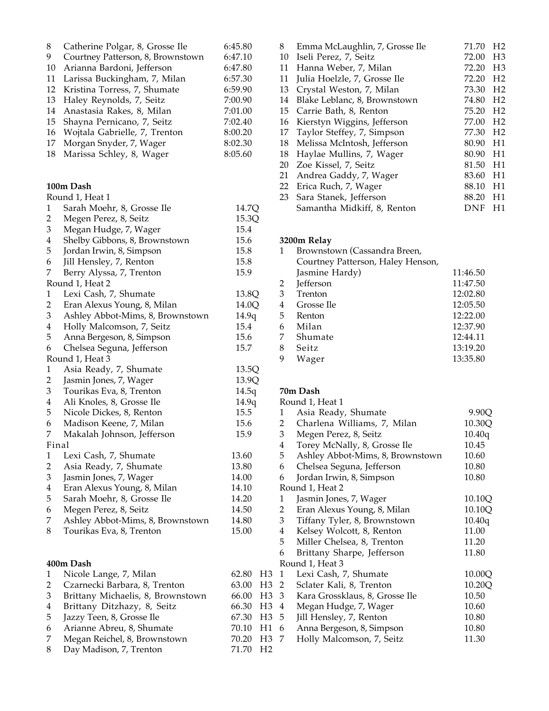| 8<br>9<br>10<br>11<br>12<br>13<br>14<br>15<br>16<br>17<br>18 | Catherine Polgar, 8, Grosse Ile<br>Courtney Patterson, 8, Brownstown<br>Arianna Bardoni, Jefferson<br>Larissa Buckingham, 7, Milan<br>Kristina Torress, 7, Shumate<br>Haley Reynolds, 7, Seitz<br>Anastasia Rakes, 8, Milan<br>Shayna Pernicano, 7, Seitz<br>Wojtala Gabrielle, 7, Trenton<br>Morgan Snyder, 7, Wager<br>Marissa Schley, 8, Wager | 6:45.80<br>6:47.10<br>6:47.80<br>6:57.30<br>6:59.90<br>7:00.90<br>7:01.00<br>7:02.40<br>8:00.20<br>8:02.30<br>8:05.60 |
|--------------------------------------------------------------|---------------------------------------------------------------------------------------------------------------------------------------------------------------------------------------------------------------------------------------------------------------------------------------------------------------------------------------------------|-----------------------------------------------------------------------------------------------------------------------|
|                                                              | 100m Dash                                                                                                                                                                                                                                                                                                                                         |                                                                                                                       |
|                                                              | Round 1, Heat 1                                                                                                                                                                                                                                                                                                                                   |                                                                                                                       |
| 1                                                            | Sarah Moehr, 8, Grosse Ile                                                                                                                                                                                                                                                                                                                        | 14.7Q                                                                                                                 |
| $\overline{c}$                                               | Megen Perez, 8, Seitz                                                                                                                                                                                                                                                                                                                             | 15.3Q                                                                                                                 |
| 3                                                            | Megan Hudge, 7, Wager                                                                                                                                                                                                                                                                                                                             | 15.4                                                                                                                  |
| $\overline{\mathbf{4}}$                                      | Shelby Gibbons, 8, Brownstown                                                                                                                                                                                                                                                                                                                     | 15.6                                                                                                                  |
| 5                                                            | Jordan Irwin, 8, Simpson                                                                                                                                                                                                                                                                                                                          | 15.8                                                                                                                  |
| 6                                                            | Jill Hensley, 7, Renton                                                                                                                                                                                                                                                                                                                           | 15.8                                                                                                                  |
| 7                                                            | Berry Alyssa, 7, Trenton                                                                                                                                                                                                                                                                                                                          | 15.9                                                                                                                  |
|                                                              | Round 1, Heat 2                                                                                                                                                                                                                                                                                                                                   |                                                                                                                       |
| $\mathbf{1}$                                                 | Lexi Cash, 7, Shumate                                                                                                                                                                                                                                                                                                                             | 13.8Q                                                                                                                 |
| $\overline{2}$                                               | Eran Alexus Young, 8, Milan                                                                                                                                                                                                                                                                                                                       | 14.0Q                                                                                                                 |
| 3                                                            | Ashley Abbot-Mims, 8, Brownstown                                                                                                                                                                                                                                                                                                                  | 14.9q                                                                                                                 |
| $\overline{\mathbf{4}}$                                      | Holly Malcomson, 7, Seitz                                                                                                                                                                                                                                                                                                                         | 15.4                                                                                                                  |
| 5                                                            | Anna Bergeson, 8, Simpson                                                                                                                                                                                                                                                                                                                         | 15.6                                                                                                                  |
| 6                                                            | Chelsea Seguna, Jefferson                                                                                                                                                                                                                                                                                                                         | 15.7                                                                                                                  |
|                                                              | Round 1, Heat 3                                                                                                                                                                                                                                                                                                                                   |                                                                                                                       |
| $\mathbf{1}$                                                 | Asia Ready, 7, Shumate                                                                                                                                                                                                                                                                                                                            | 13.5Q                                                                                                                 |
| $\overline{2}$                                               | Jasmin Jones, 7, Wager                                                                                                                                                                                                                                                                                                                            | 13.9Q                                                                                                                 |
| 3                                                            | Tourikas Eva, 8, Trenton                                                                                                                                                                                                                                                                                                                          | 14.5q                                                                                                                 |
| $\overline{\mathbf{4}}$                                      | Ali Knoles, 8, Grosse Ile                                                                                                                                                                                                                                                                                                                         | 14.9q                                                                                                                 |
| 5                                                            | Nicole Dickes, 8, Renton                                                                                                                                                                                                                                                                                                                          | 15.5                                                                                                                  |
| 6                                                            | Madison Keene, 7, Milan                                                                                                                                                                                                                                                                                                                           | 15.6                                                                                                                  |
| 7                                                            | Makalah Johnson, Jefferson                                                                                                                                                                                                                                                                                                                        | 15.9                                                                                                                  |
| Final                                                        |                                                                                                                                                                                                                                                                                                                                                   |                                                                                                                       |
| 1                                                            | Lexi Cash, 7, Shumate                                                                                                                                                                                                                                                                                                                             | 13.60                                                                                                                 |
| $\overline{2}$                                               | Asia Ready, 7, Shumate                                                                                                                                                                                                                                                                                                                            | 13.80                                                                                                                 |
| 3                                                            | Jasmin Jones, 7, Wager                                                                                                                                                                                                                                                                                                                            | 14.00                                                                                                                 |
| $\overline{\mathbf{4}}$                                      | Eran Alexus Young, 8, Milan                                                                                                                                                                                                                                                                                                                       | 14.10                                                                                                                 |
| 5                                                            | Sarah Moehr, 8, Grosse Ile                                                                                                                                                                                                                                                                                                                        | 14.20                                                                                                                 |
| 6                                                            | Megen Perez, 8, Seitz                                                                                                                                                                                                                                                                                                                             | 14.50                                                                                                                 |
| 7                                                            | Ashley Abbot-Mims, 8, Brownstown                                                                                                                                                                                                                                                                                                                  | 14.80                                                                                                                 |
| 8                                                            | Tourikas Eva, 8, Trenton                                                                                                                                                                                                                                                                                                                          | 15.00                                                                                                                 |
|                                                              |                                                                                                                                                                                                                                                                                                                                                   |                                                                                                                       |
|                                                              | 400m Dash                                                                                                                                                                                                                                                                                                                                         |                                                                                                                       |
| 1                                                            | Nicole Lange, 7, Milan                                                                                                                                                                                                                                                                                                                            | 62.80<br>H3                                                                                                           |
| $\overline{2}$<br>3                                          | Czarnecki Barbara, 8, Trenton                                                                                                                                                                                                                                                                                                                     | 63.00<br>H <sub>3</sub>                                                                                               |
| $\overline{\mathbf{4}}$                                      | Brittany Michaelis, 8, Brownstown                                                                                                                                                                                                                                                                                                                 | 66.00<br>H <sub>3</sub><br>66.30                                                                                      |
| 5                                                            | Brittany Ditzhazy, 8, Seitz<br>Jazzy Teen, 8, Grosse Ile                                                                                                                                                                                                                                                                                          | H3<br>67.30<br>H <sub>3</sub>                                                                                         |
| 6                                                            | Arianne Abreu, 8, Shumate                                                                                                                                                                                                                                                                                                                         | 70.10<br>H1                                                                                                           |
|                                                              |                                                                                                                                                                                                                                                                                                                                                   |                                                                                                                       |

- 7 Megan Reichel, 8, Brownstown 70.20 H3
- 8 Day Madison, 7, Trenton 71.70 H2

| 8  | Emma McLaughlin, 7, Grosse Ile | 71.70 | H <sub>2</sub> |
|----|--------------------------------|-------|----------------|
| 10 | Iseli Perez, 7, Seitz          | 72.00 | H <sub>3</sub> |
| 11 | Hanna Weber, 7, Milan          | 72.20 | H <sub>3</sub> |
| 11 | Julia Hoelzle, 7, Grosse Ile   | 72.20 | H <sub>2</sub> |
| 13 | Crystal Weston, 7, Milan       | 73.30 | H <sub>2</sub> |
| 14 | Blake Leblanc, 8, Brownstown   | 74.80 | H <sub>2</sub> |
| 15 | Carrie Bath, 8, Renton         | 75.20 | H <sub>2</sub> |
| 16 | Kierstyn Wiggins, Jefferson    | 77.00 | H <sub>2</sub> |
| 17 | Taylor Steffey, 7, Simpson     | 77.30 | H <sub>2</sub> |
| 18 | Melissa McIntosh, Jefferson    | 80.90 | H1             |
| 18 | Haylae Mullins, 7, Wager       | 80.90 | H1             |
| 20 | Zoe Kissel, 7, Seitz           | 81.50 | H1             |
| 21 | Andrea Gaddy, 7, Wager         | 83.60 | H1             |
| 22 | Erica Ruch, 7, Wager           | 88.10 | H1             |
| 23 | Sara Stanek, Jefferson         | 88.20 | H1             |
|    | Samantha Midkiff, 8, Renton    | DNF   | H1             |

# **3200m Relay**

|                | Brownstown (Cassandra Breen,      |          |
|----------------|-----------------------------------|----------|
|                | Courtney Patterson, Haley Henson, |          |
|                | Jasmine Hardy)                    | 11:46.50 |
| 2              | <b>Jefferson</b>                  | 11:47.50 |
| 3              | Trenton                           | 12:02.80 |
| $\overline{4}$ | Grosse Ile                        | 12:05.50 |
| .5             | Renton                            | 12:22.00 |
| 6              | Milan                             | 12:37.90 |
| 7              | Shumate                           | 12:44.11 |
| 8              | Seitz                             | 13:19.20 |
| 9              | Wager                             | 13:35.80 |
|                |                                   |          |

# **70m Dash**

|                         |                 | Round 1, Heat 1                  |        |
|-------------------------|-----------------|----------------------------------|--------|
|                         | 1               | Asia Ready, Shumate              | 9.90Q  |
|                         | $\mathbf{2}$    | Charlena Williams, 7, Milan      | 10.30Q |
|                         | 3 <sup>1</sup>  | Megen Perez, 8, Seitz            | 10.40q |
|                         | $4\overline{ }$ | Torey McNally, 8, Grosse Ile     | 10.45  |
|                         | 5               | Ashley Abbot-Mims, 8, Brownstown | 10.60  |
|                         | 6               | Chelsea Seguna, Jefferson        | 10.80  |
|                         | 6               | Jordan Irwin, 8, Simpson         | 10.80  |
|                         |                 | Round 1, Heat 2                  |        |
|                         | $\mathbf{1}$    | Jasmin Jones, 7, Wager           | 10.10Q |
|                         | $\mathbf{2}$    | Eran Alexus Young, 8, Milan      | 10.10Q |
|                         | 3 <sup>1</sup>  | Tiffany Tyler, 8, Brownstown     | 10.40q |
|                         | 4               | Kelsey Wolcott, 8, Renton        | 11.00  |
|                         | 5               | Miller Chelsea, 8, Trenton       | 11.20  |
|                         | 6               | Brittany Sharpe, Jefferson       | 11.80  |
|                         |                 | Round 1, Heat 3                  |        |
| 3                       | 1               | Lexi Cash, 7, Shumate            | 10.00Q |
|                         | $3\quad2$       | Sclater Kali, 8, Trenton         | 10.20Q |
| 3                       | 3 <sup>7</sup>  | Kara Grossklaus, 8, Grosse Ile   | 10.50  |
| $\overline{\mathbf{3}}$ | $\overline{4}$  | Megan Hudge, 7, Wager            | 10.60  |
|                         | $3\quad 5$      | Jill Hensley, 7, Renton          | 10.80  |
|                         | 16              | Anna Bergeson, 8, Simpson        | 10.80  |
|                         | 3 7             | Holly Malcomson, 7, Seitz        | 11.30  |
| $\overline{c}$          |                 |                                  |        |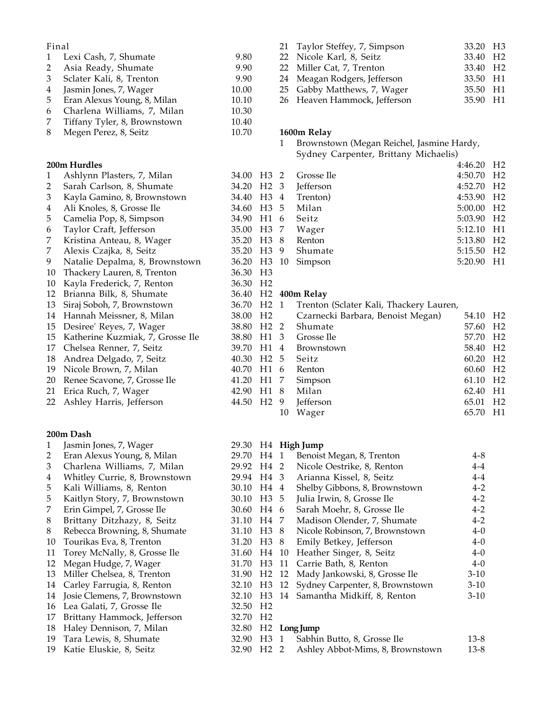## Final

| $\mathbf{1}$ | Lexi Cash, 7, Shumate        | 9.80  |
|--------------|------------------------------|-------|
| 2            | Asia Ready, Shumate          | 9.90  |
| 3            | Sclater Kali, 8, Trenton     | 9.90  |
| 4            | Jasmin Jones, 7, Wager       | 10.00 |
| 5            | Eran Alexus Young, 8, Milan  | 10.10 |
| 6            | Charlena Williams, 7, Milan  | 10.30 |
| 7            | Tiffany Tyler, 8, Brownstown | 10.40 |
| 8            | Megen Perez, 8, Seitz        | 10.70 |

# **200m Hurdles**

| 1  | Ashlynn Plasters, 7, Milan       | 34.00 | H <sub>3</sub> | 2  | Grosse.         |
|----|----------------------------------|-------|----------------|----|-----------------|
| 2  | Sarah Carlson, 8, Shumate        | 34.20 | H <sub>2</sub> | 3  | <b>Jefferso</b> |
| 3  | Kayla Gamino, 8, Brownstown      | 34.40 | H <sub>3</sub> | 4  | Trenton         |
| 4  | Ali Knoles, 8, Grosse Ile        | 34.60 | H <sub>3</sub> | 5  | Milan           |
| 5  | Camelia Pop, 8, Simpson          | 34.90 | H1             | 6  | Seitz           |
| 6  | Taylor Craft, Jefferson          | 35.00 | H <sub>3</sub> | 7  | Wager           |
| 7  | Kristina Anteau, 8, Wager        | 35.20 | H <sub>3</sub> | 8  | Renton          |
| 7  | Alexis Czajka, 8, Seitz          | 35.20 | H <sub>3</sub> | 9  | Shuma           |
| 9  | Natalie Depalma, 8, Brownstown   | 36.20 | H <sub>3</sub> | 10 | Simpson         |
| 10 | Thackery Lauren, 8, Trenton      | 36.30 | H <sub>3</sub> |    |                 |
| 10 | Kayla Frederick, 7, Renton       | 36.30 | H <sub>2</sub> |    |                 |
| 12 | Brianna Bilk, 8, Shumate         | 36.40 | H <sub>2</sub> |    | 400m Relay      |
| 13 | Siraj Soboh, 7, Brownstown       | 36.70 | H <sub>2</sub> | 1  | Trentor         |
| 14 | Hannah Meissner, 8, Milan        | 38.00 | H <sub>2</sub> |    | Czarne          |
| 15 | Desiree' Reyes, 7, Wager         | 38.80 | H <sub>2</sub> | 2  | Shuma           |
| 15 | Katherine Kuzmiak, 7, Grosse Ile | 38.80 | H1             | 3  | Grosse          |
| 17 | Chelsea Renner, 7, Seitz         | 39.70 | H1             | 4  | <b>Browns</b>   |
| 18 | Andrea Delgado, 7, Seitz         | 40.30 | H <sub>2</sub> | 5  | Seitz           |
| 19 | Nicole Brown, 7, Milan           | 40.70 | H1             | 6  | Renton          |
| 20 | Renee Scavone, 7, Grosse Ile     | 41.20 | H1             | 7  | Simpsor         |
| 21 | Erica Ruch, 7, Wager             | 42.90 | H1             | 8  | Milan           |
| 22 | Ashley Harris, Jefferson         | 44.50 | H <sub>2</sub> | 9  | <b>Jefferso</b> |
|    |                                  |       |                |    |                 |

# **200m Dash**

| 1  | Jasmin Jones, 7, Wager        | 29.30                | H4               |    | <b>High Jump</b> |
|----|-------------------------------|----------------------|------------------|----|------------------|
| 2  | Eran Alexus Young, 8, Milan   | 29.70                | H4               | 1  | Benois           |
| 3  | Charlena Williams, 7, Milan   | 29.92                | H <sub>4</sub> 2 |    | Nicole           |
| 4  | Whitley Currie, 8, Brownstown | 29.94                | H4 3             |    | Arianr           |
| 5  | Kali Williams, 8, Renton      | 30.10                | H4               | 4  | Shelby           |
| 5  | Kaitlyn Story, 7, Brownstown  | 30.10                | H <sub>3</sub>   | 5  | Julia Ir         |
| 7  | Erin Gimpel, 7, Grosse Ile    | 30.60                | H4               | 6  | Sarah I          |
| 8  | Brittany Ditzhazy, 8, Seitz   | 31.10                | H4               | 7  | Madis            |
| 8  | Rebecca Browning, 8, Shumate  | 31.10                | H <sub>3</sub>   | 8  | Nicole           |
| 10 | Tourikas Eva, 8, Trenton      | 31.20                | H <sub>3</sub>   | 8  | Emily            |
| 11 | Torey McNally, 8, Grosse Ile  | 31.60                | H4               | 10 | Heath            |
| 12 | Megan Hudge, 7, Wager         | 31.70                | H <sub>3</sub>   | 11 | Carrie           |
| 13 | Miller Chelsea, 8, Trenton    | 31.90                | H <sub>2</sub>   | 12 | Mady J           |
| 14 | Carley Farrugia, 8, Renton    | 32.10                | H <sub>3</sub>   | 12 | Sydney           |
| 14 | Josie Clemens, 7, Brownstown  | 32.10                | H <sub>3</sub>   | 14 | Saman            |
| 16 | Lea Galati, 7, Grosse Ile     | 32.50                | H <sub>2</sub>   |    |                  |
| 17 | Brittany Hammock, Jefferson   | 32.70                | H <sub>2</sub>   |    |                  |
| 18 | Haley Dennison, 7, Milan      | 32.80 H <sub>2</sub> |                  |    | Long Jump        |
| 19 | Tara Lewis, 8, Shumate        | 32.90                | H <sub>3</sub>   | 1  | Sabhin           |
| 19 | Katie Eluskie, 8, Seitz       | 32.90                | H <sub>2</sub>   | 2  | Ashley           |

| 21 Taylor Steffey, 7, Simpson | 33.20 H <sub>3</sub> |  |
|-------------------------------|----------------------|--|
| 22 Nicole Karl, 8, Seitz      | 33.40 H <sub>2</sub> |  |
| 22 Miller Cat, 7, Trenton     | 33.40 H <sub>2</sub> |  |
| 24 Meagan Rodgers, Jefferson  | 33.50 H1             |  |
| 25 Gabby Matthews, 7, Wager   | 35.50 H1             |  |
| 26 Heaven Hammock, Jefferson  | 35.90 H1             |  |

## **1600m Relay**

1 Brownstown (Megan Reichel, Jasmine Hardy, Sydney Carpenter, Brittany Michaelis)

|                        |  |                     | 4:46.20 H <sub>2</sub> |  |
|------------------------|--|---------------------|------------------------|--|
| 34.00 H <sub>3</sub> 2 |  | Grosse Ile          | 4:50.70 H2             |  |
| 34.20 H <sub>2</sub> 3 |  | Jefferson           | 4:52.70 H2             |  |
|                        |  | 34.40 H3 4 Trenton) | 4:53.90 H2             |  |
| 34.60 H <sub>3</sub> 5 |  | Milan               | 5:00.00 H2             |  |
| 34.90 H1 6             |  | Seitz               | 5:03.90 H2             |  |
| 35.00 H3 7             |  | Wager               | 5:12.10 H1             |  |
| 35.20 H <sub>3</sub> 8 |  | Renton              | 5:13.80 H2             |  |
| 35.20 H <sub>3</sub> 9 |  | Shumate             | 5:15.50 H2             |  |
| 36.20 H3 10            |  | Simpson             | 5:20.90 H1             |  |
| 36.30 H <sub>3</sub>   |  |                     |                        |  |

|    |                                                                           | 54.10                                                                                                                                                | H <sub>2</sub> |
|----|---------------------------------------------------------------------------|------------------------------------------------------------------------------------------------------------------------------------------------------|----------------|
|    |                                                                           | 57.60                                                                                                                                                | H <sub>2</sub> |
|    |                                                                           | 57.70                                                                                                                                                | H <sub>2</sub> |
|    | Brownstown                                                                | 58.40                                                                                                                                                | H <sub>2</sub> |
|    | Seitz                                                                     | 60.20                                                                                                                                                | $_{\rm H2}$    |
|    | Renton                                                                    | 60.60                                                                                                                                                | H <sub>2</sub> |
|    |                                                                           | 61.10                                                                                                                                                | H <sub>2</sub> |
|    |                                                                           | 62.40                                                                                                                                                | H1             |
|    | Jefferson                                                                 | 65.01                                                                                                                                                | H <sub>2</sub> |
| 10 | Wager                                                                     | 65.70                                                                                                                                                | H1             |
|    | 70 H2 1<br>80 H1 3<br>70 H1 4<br>70 H1 6<br>20 H1 7<br>90 H1 8<br>50 H2 9 | Trenton (Sclater Kali, Thackery Lauren,<br>00 H2 Czarnecki Barbara, Benoist Megan)<br>80 H2 2 Shumate<br>– Grosse Ile<br>30 H2 5<br>Simpson<br>Milan |                |

| 29.70 | H4             | 1  | Benoist Megan, 8, Trenton        | $4 - 8$ |
|-------|----------------|----|----------------------------------|---------|
| 29.92 | H4             | 2  | Nicole Oestrike, 8, Renton       | $4 - 4$ |
| 29.94 | H4             | 3  | Arianna Kissel, 8, Seitz         | $4 - 4$ |
| 30.10 | H4             | 4  | Shelby Gibbons, 8, Brownstown    | $4 - 2$ |
| 30.10 | H <sub>3</sub> | 5  | Julia Irwin, 8, Grosse Ile       | $4 - 2$ |
| 30.60 | H4             | 6  | Sarah Moehr, 8, Grosse Ile       | $4 - 2$ |
| 31.10 | H4             | 7  | Madison Olender, 7, Shumate      | $4 - 2$ |
| 31.10 | H3             | 8  | Nicole Robinson, 7, Brownstown   | $4 - 0$ |
| 31.20 | H <sub>3</sub> | 8  | Emily Betkey, Jefferson          | $4 - 0$ |
| 31.60 | H4             | 10 | Heather Singer, 8, Seitz         | $4 - 0$ |
| 31.70 | H <sub>3</sub> | 11 | Carrie Bath, 8, Renton           | $4 - 0$ |
| 31.90 | H <sub>2</sub> | 12 | Mady Jankowski, 8, Grosse Ile    | $3-10$  |
| 32.10 | H <sub>3</sub> | 12 | Sydney Carpenter, 8, Brownstown  | $3-10$  |
| 32.10 | H <sub>3</sub> | 14 | Samantha Midkiff, 8, Renton      | 3-10    |
| 32.50 | H <sub>2</sub> |    |                                  |         |
| 32.70 | H <sub>2</sub> |    |                                  |         |
| 32.80 | H <sub>2</sub> |    | Long Jump                        |         |
| 32.90 | H <sub>3</sub> | 1  | Sabhin Butto, 8, Grosse Ile      | 13-8    |
| 32.90 | H <sub>2</sub> | 2  | Ashley Abbot-Mims, 8, Brownstown | 13-8    |